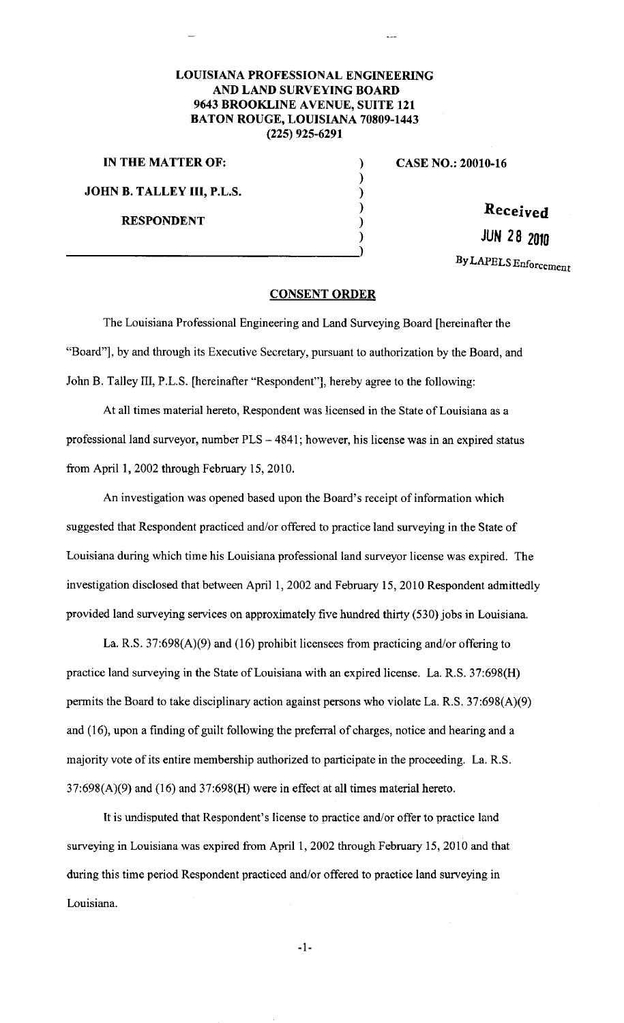## **LOUISIANA PROFESSIONAL ENGINEERING AND LAND SURVEYING BOARD 9643 BROOKLINE AVENUE, SUITE 121 BATON ROUGE, LOUISIANA 70809-1443 (225) 925-6291**

**IN THE MATTER OF:** )

**JOHN B. TALLEY Ill, P.L.S.** 

**RESPONDENT** 

**CASE NO.: 20010-16** 

**Received** 

\_\_\_\_\_\_\_\_\_\_\_\_\_\_\_\_\_\_\_\_\_\_\_\_\_\_\_\_ **JUN 28 2010** )

By LAPELS Enforcement

## **CONSENT ORDER**

) ) ) )

)

The Louisiana Professional Engineering and Land Surveying Boatd [hereinafter the "Board"], by and through its Executive Secretary, pursuant to authorization by the Board, and John B. Talley III, P.L.S. [hereinafter "Respondent"], hereby agree to the following:

At all times material hereto, Respondent was licensed in the State of Louisiana as a professional land surveyor, number  $PLS - 4841$ ; however, his license was in an expired status from April 1, 2002 through February 15, 2010.

An investigation was opened based upon the Boatd's receipt of information which suggested that Respondent practiced and/or offered to practice land surveying in the State of Louisiana during which time his Louisiana professional land surveyor license was expired. The investigation disclosed that between April 1, 2002 and February 15, 2010 Respondent admittedly provided land surveying services on approximately five hundred thirty (530) jobs in Louisiana.

La. R.S. 37:698(A)(9) and (16) prohibit licensees from practicing and/or offering to practice land surveying in the State of Louisiana with an expired license. La. R.S. 37:698(H) permits the Board to take disciplinary action against persons who violate La. R.S. 37:698(A)(9) and (16), upon a finding of guilt following the preferral of charges, notice and hearing and a majority vote of its entire membership authorized to participate in the proceeding. La. R.S.  $37:698(A)(9)$  and  $(16)$  and  $37:698(H)$  were in effect at all times material hereto.

It is undisputed that Respondent's license to practice and/or offer to practice land surveying in Louisiana was expired from April 1, 2002 through February 15, 2010 and that during this time period Respondent practiced and/or offered to practice land surveying in Louisiana.

-1-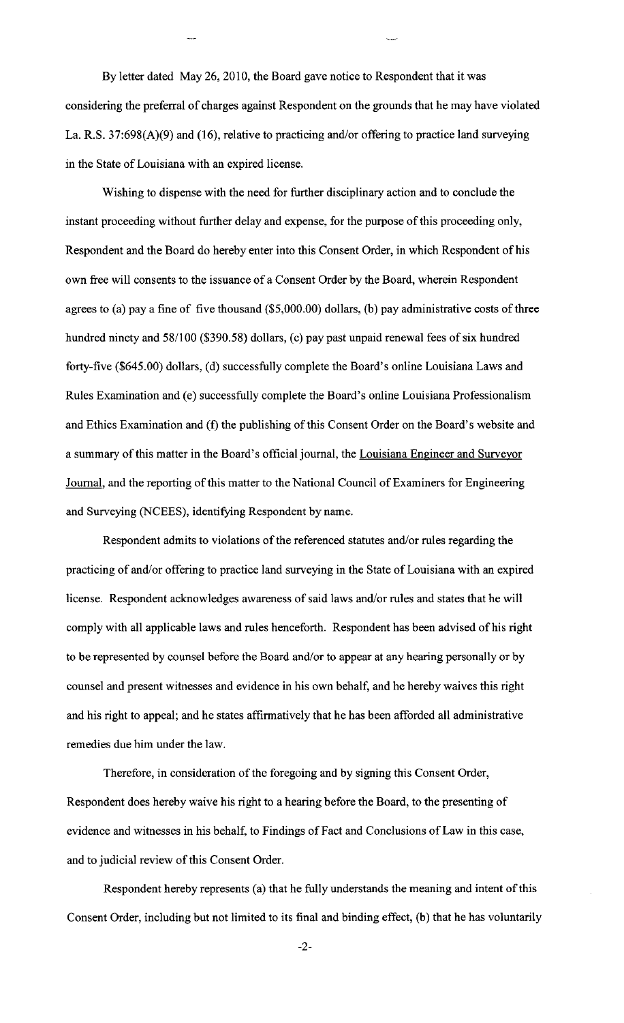By letter dated May 26, 2010, the Board gave notice to Respondent that it was considering the preferral of charges against Respondent on the grounds that he may have violated La. R.S. 37:698(A)(9) and (16), relative to practicing and/or offering to practice land surveying in the State of Louisiana with an expired license.

Wishing to dispense with the need for further disciplinary action and to conclude the instant proceeding without further delay and expense, for the purpose of this proceeding only, Respondent and the Board do hereby enter into this Consent Order, in which Respondent of his own free will consents to the issuance of a Consent Order by the Board, wherein Respondent agrees to (a) pay a fine of five thousand (\$5,000.00) dollars, (b) pay administrative costs of three hundred ninety and 58/100 (\$390.58) dollars, (c) pay past unpaid renewal fees of six hundred forty-five (\$645.00) dollars, (d) successfully complete the Board's online Louisiana Laws and Rules Examination and (e) successfully complete the Board's online Louisiana Professionalism and Ethics Examination and (f) the publishing of this Consent Order on the Board's website and a summary of this matter in the Board's official journal, the Louisiana Engineer and Surveyor Journal, and the reporting of this matter to the National Council of Examiners for Engineering and Surveying (NCEES), identifying Respondent by name.

Respondent admits to violations of the referenced statutes and/or rules regarding the practicing of and/or offering to practice land surveying in the State of Louisiana with an expired license. Respondent acknowledges awareness of said laws and/or rules and states that he will comply with all applicable laws and rules henceforth. Respondent has been advised of his right to be represented by counsel before the Board and/or to appear at any hearing personally or by counsel and present witnesses and evidence in his own behalf, and he hereby waives this right and his right to appeal; and he states affirmatively that he has been afforded all administrative remedies due him under the law.

Therefore, in consideration of the foregoing and by signing this Consent Order, Respondent does hereby waive his right to a hearing before the Board, to the presenting of evidence and witnesses in his behalf, to Findings of Fact and Conclusions of Law in this case, and to judicial review of this Consent Order.

Respondent hereby represents (a) that he fully understands the meaning and intent of this Consent Order, including but not limited to its final and binding effect, (b) that he has voluntarily

-2-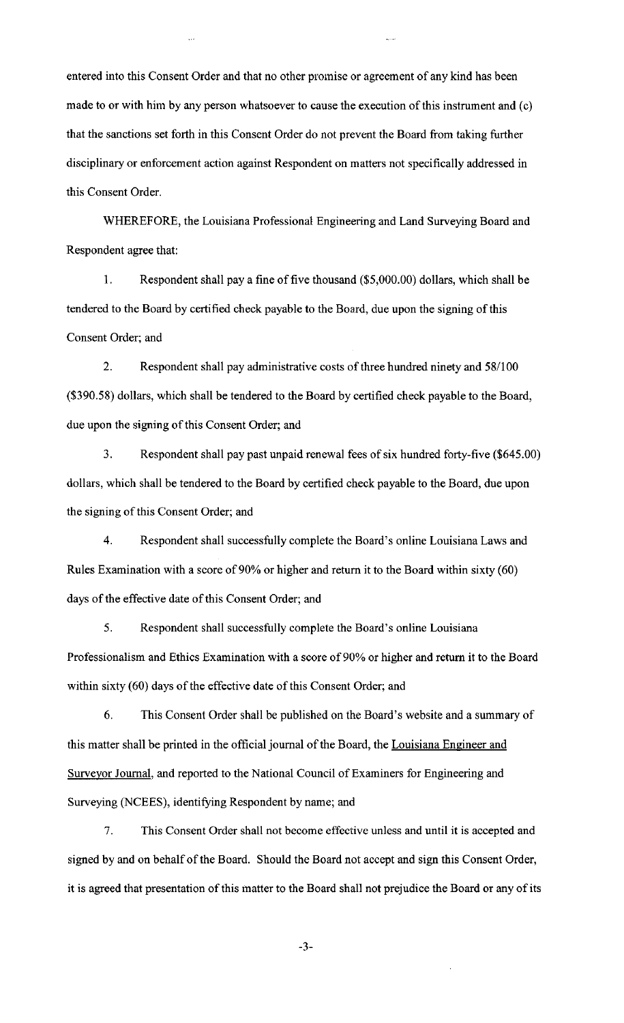entered into this Consent Order and that no other promise or agreement of any kind has been made to or with him by any person whatsoever to cause the execution of this instrument and (c) that the sanctions set forth in this Consent Order do not prevent the Board from taking further disciplinary or enforcement action against Respondent on matters not specifically addressed in this Consent Order.

WHEREFORE, the Louisiana Professional Engineering and Land Surveying Board and Respondent agree that:

I. Respondent shall pay a fine of five thousand (\$5,000.00) dollars, which shall be tendered to the Board by certified check payable to the Board, due upon the signing of this Consent Order; and

2. Respondent shall pay administrative costs of three hundred ninety and 58/100 (\$390.58) dollars, which shall be tendered to the Board by certified check payable to the Board, due upon the signing of this Consent Order; and

3. Respondent shall pay past unpaid renewal fees of six hundred forty-five (\$645.00) dollars, which shall be tendered to the Board by certified check payable to the Board, due upon the signing of this Consent Order; and

4. Respondent shall successfully complete the Board's online Louisiana Laws and Rules Examination with a score of 90% or higher and return it to the Board within sixty (60) days of the effective date of this Consent Order; and

5. Respondent shall successfully complete the Board's online Louisiana Professionalism and Ethics Examination with a score of 90% or higher and return it to the Board within sixty (60) days of the effective date of this Consent Order; and

6. This Consent Order shall be published on the Board's website and a summary of this matter shall be printed in the official journal of the Board, the Louisiana Engineer and Surveyor Journal, and reported to the National Council of Examiners for Engineering and Surveying (NCEES), identifying Respondent by name; and

7. This Consent Order shall not become effective unless and until it is accepted and signed by and on behalf of the Board. Should the Board not accept and sign this Consent Order, it is agreed that presentation of this matter to the Board shall not prejudice the Board or any of its

-3-